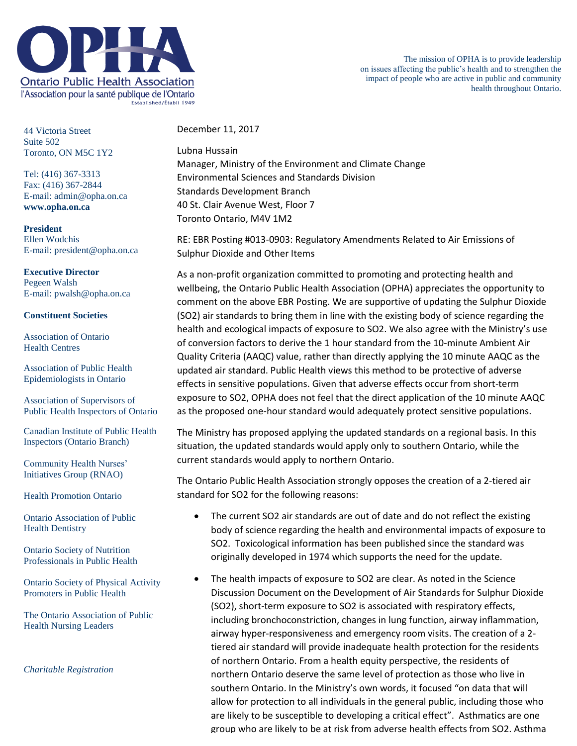

The mission of OPHA is to provide leadership on issues affecting the public's health and to strengthen the impact of people who are active in public and community health throughout Ontario.

44 Victoria Street Suite 502 Toronto, ON M5C 1Y2

Tel: (416) 367-3313 Fax: (416) 367-2844 E-mail: admin@opha.on.ca **www.opha.on.ca**

**President** Ellen Wodchis E-mail: president@opha.on.ca

## **Executive Director** Pegeen Walsh E-mail: pwalsh@opha.on.ca

## **Constituent Societies**

Association of Ontario Health Centres

Association of Public Health Epidemiologists in Ontario

Association of Supervisors of Public Health Inspectors of Ontario

Canadian Institute of Public Health Inspectors (Ontario Branch)

Community Health Nurses' Initiatives Group (RNAO)

Health Promotion Ontario

Ontario Association of Public Health Dentistry

Ontario Society of Nutrition Professionals in Public Health

Ontario Society of Physical Activity Promoters in Public Health

The Ontario Association of Public Health Nursing Leaders

*Charitable Registration*

December 11, 2017

Lubna Hussain Manager, Ministry of the Environment and Climate Change Environmental Sciences and Standards Division Standards Development Branch 40 St. Clair Avenue West, Floor 7 Toronto Ontario, M4V 1M2

RE: EBR Posting #013-0903: Regulatory Amendments Related to Air Emissions of Sulphur Dioxide and Other Items

As a non-profit organization committed to promoting and protecting health and wellbeing, the Ontario Public Health Association (OPHA) appreciates the opportunity to comment on the above EBR Posting. We are supportive of updating the Sulphur Dioxide (SO2) air standards to bring them in line with the existing body of science regarding the health and ecological impacts of exposure to SO2. We also agree with the Ministry's use of conversion factors to derive the 1 hour standard from the 10-minute Ambient Air Quality Criteria (AAQC) value, rather than directly applying the 10 minute AAQC as the updated air standard. Public Health views this method to be protective of adverse effects in sensitive populations. Given that adverse effects occur from short-term exposure to SO2, OPHA does not feel that the direct application of the 10 minute AAQC as the proposed one-hour standard would adequately protect sensitive populations.

The Ministry has proposed applying the updated standards on a regional basis. In this situation, the updated standards would apply only to southern Ontario, while the current standards would apply to northern Ontario.

The Ontario Public Health Association strongly opposes the creation of a 2-tiered air standard for SO2 for the following reasons:

- The current SO2 air standards are out of date and do not reflect the existing body of science regarding the health and environmental impacts of exposure to SO2. Toxicological information has been published since the standard was originally developed in 1974 which supports the need for the update.
- The health impacts of exposure to SO2 are clear. As noted in the Science Discussion Document on the Development of Air Standards for Sulphur Dioxide (SO2), short-term exposure to SO2 is associated with respiratory effects, including bronchoconstriction, changes in lung function, airway inflammation, airway hyper-responsiveness and emergency room visits. The creation of a 2 tiered air standard will provide inadequate health protection for the residents of northern Ontario. From a health equity perspective, the residents of northern Ontario deserve the same level of protection as those who live in southern Ontario. In the Ministry's own words, it focused "on data that will allow for protection to all individuals in the general public, including those who are likely to be susceptible to developing a critical effect". Asthmatics are one group who are likely to be at risk from adverse health effects from SO2. Asthma